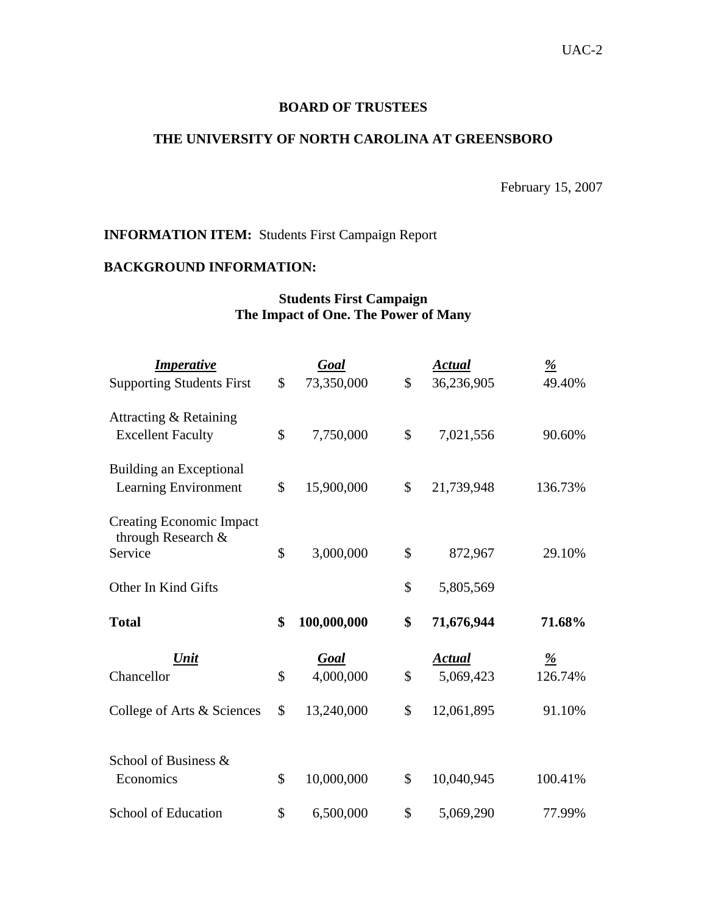#### **BOARD OF TRUSTEES**

#### **THE UNIVERSITY OF NORTH CAROLINA AT GREENSBORO**

February 15, 2007

## **INFORMATION ITEM:** Students First Campaign Report

# **BACKGROUND INFORMATION:**

## **Students First Campaign The Impact of One. The Power of Many**

| <b>Imperative</b><br><b>Supporting Students First</b>            | $\mathcal{S}$ | Goal<br>73,350,000      | \$       | <b>Actual</b><br>36,236,905 | $\frac{9}{6}$<br>49.40% |
|------------------------------------------------------------------|---------------|-------------------------|----------|-----------------------------|-------------------------|
| Attracting & Retaining<br><b>Excellent Faculty</b>               | \$            | 7,750,000               | \$       | 7,021,556                   | 90.60%                  |
| Building an Exceptional<br>Learning Environment                  | \$            | 15,900,000              | \$       | 21,739,948                  | 136.73%                 |
| <b>Creating Economic Impact</b><br>through Research &<br>Service | \$            | 3,000,000               | \$       | 872,967                     | 29.10%                  |
| Other In Kind Gifts                                              |               |                         | \$       | 5,805,569                   |                         |
| <b>Total</b>                                                     | \$            | 100,000,000             |          | 71,676,944                  | 71.68%                  |
|                                                                  |               |                         | \$       |                             |                         |
| Unit                                                             |               | Goal                    |          | <b>Actual</b>               | $\frac{9}{6}$           |
| Chancellor<br>College of Arts & Sciences                         | \$<br>\$      | 4,000,000<br>13,240,000 | \$<br>\$ | 5,069,423<br>12,061,895     | 126.74%<br>91.10%       |
| School of Business &<br>Economics                                | \$            | 10,000,000              | \$       | 10,040,945                  | 100.41%                 |